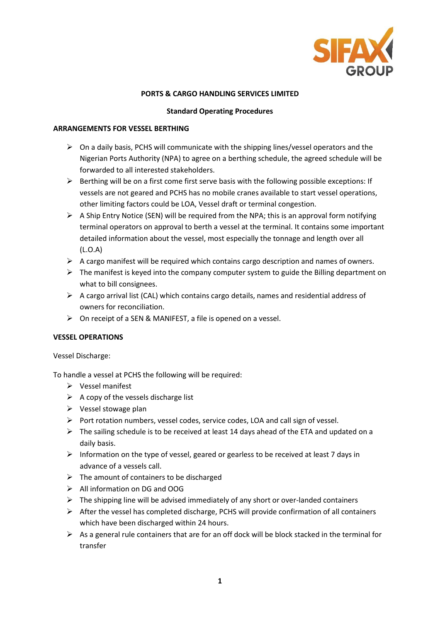

### **PORTS & CARGO HANDLING SERVICES LIMITED**

### **Standard Operating Procedures**

### **ARRANGEMENTS FOR VESSEL BERTHING**

- $\triangleright$  On a daily basis, PCHS will communicate with the shipping lines/vessel operators and the Nigerian Ports Authority (NPA) to agree on a berthing schedule, the agreed schedule will be forwarded to all interested stakeholders.
- $\triangleright$  Berthing will be on a first come first serve basis with the following possible exceptions: If vessels are not geared and PCHS has no mobile cranes available to start vessel operations, other limiting factors could be LOA, Vessel draft or terminal congestion.
- $\triangleright$  A Ship Entry Notice (SEN) will be required from the NPA; this is an approval form notifying terminal operators on approval to berth a vessel at the terminal. It contains some important detailed information about the vessel, most especially the tonnage and length over all (L.O.A)
- $\triangleright$  A cargo manifest will be required which contains cargo description and names of owners.
- $\triangleright$  The manifest is keyed into the company computer system to guide the Billing department on what to bill consignees.
- $\triangleright$  A cargo arrival list (CAL) which contains cargo details, names and residential address of owners for reconciliation.
- $\triangleright$  On receipt of a SEN & MANIFEST, a file is opened on a vessel.

### **VESSEL OPERATIONS**

### Vessel Discharge:

To handle a vessel at PCHS the following will be required:

- $\triangleright$  Vessel manifest
- $\triangleright$  A copy of the vessels discharge list
- $\triangleright$  Vessel stowage plan
- $\triangleright$  Port rotation numbers, vessel codes, service codes, LOA and call sign of vessel.
- $\triangleright$  The sailing schedule is to be received at least 14 days ahead of the ETA and updated on a daily basis.
- $\triangleright$  Information on the type of vessel, geared or gearless to be received at least 7 days in advance of a vessels call.
- $\triangleright$  The amount of containers to be discharged
- All information on DG and OOG
- $\triangleright$  The shipping line will be advised immediately of any short or over-landed containers
- $\triangleright$  After the vessel has completed discharge, PCHS will provide confirmation of all containers which have been discharged within 24 hours.
- $\triangleright$  As a general rule containers that are for an off dock will be block stacked in the terminal for transfer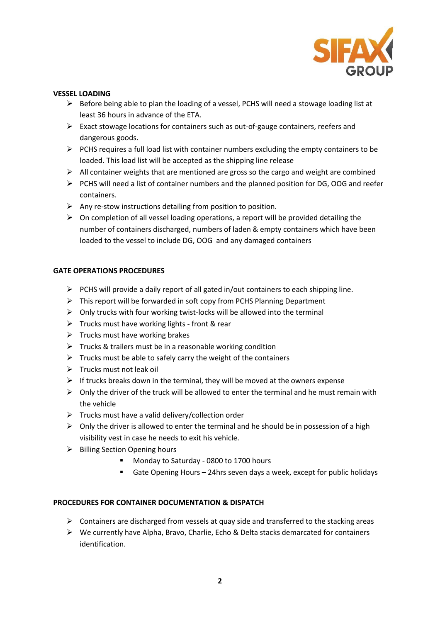

## **VESSEL LOADING**

- $\triangleright$  Before being able to plan the loading of a vessel, PCHS will need a stowage loading list at least 36 hours in advance of the ETA.
- $\triangleright$  Exact stowage locations for containers such as out-of-gauge containers, reefers and dangerous goods.
- $\triangleright$  PCHS requires a full load list with container numbers excluding the empty containers to be loaded. This load list will be accepted as the shipping line release
- $\triangleright$  All container weights that are mentioned are gross so the cargo and weight are combined
- $\triangleright$  PCHS will need a list of container numbers and the planned position for DG, OOG and reefer containers.
- $\triangleright$  Any re-stow instructions detailing from position to position.
- $\triangleright$  On completion of all vessel loading operations, a report will be provided detailing the number of containers discharged, numbers of laden & empty containers which have been loaded to the vessel to include DG, OOG and any damaged containers

## **GATE OPERATIONS PROCEDURES**

- $\triangleright$  PCHS will provide a daily report of all gated in/out containers to each shipping line.
- $\triangleright$  This report will be forwarded in soft copy from PCHS Planning Department
- $\triangleright$  Only trucks with four working twist-locks will be allowed into the terminal
- $\triangleright$  Trucks must have working lights front & rear
- $\triangleright$  Trucks must have working brakes
- $\triangleright$  Trucks & trailers must be in a reasonable working condition
- $\triangleright$  Trucks must be able to safely carry the weight of the containers
- $\triangleright$  Trucks must not leak oil
- $\triangleright$  If trucks breaks down in the terminal, they will be moved at the owners expense
- $\triangleright$  Only the driver of the truck will be allowed to enter the terminal and he must remain with the vehicle
- $\triangleright$  Trucks must have a valid delivery/collection order
- $\triangleright$  Only the driver is allowed to enter the terminal and he should be in possession of a high visibility vest in case he needs to exit his vehicle.
- $\triangleright$  Billing Section Opening hours
	- **Monday to Saturday 0800 to 1700 hours**
	- Gate Opening Hours 24hrs seven days a week, except for public holidays

### **PROCEDURES FOR CONTAINER DOCUMENTATION & DISPATCH**

- $\triangleright$  Containers are discharged from vessels at quay side and transferred to the stacking areas
- $\triangleright$  We currently have Alpha, Bravo, Charlie, Echo & Delta stacks demarcated for containers identification.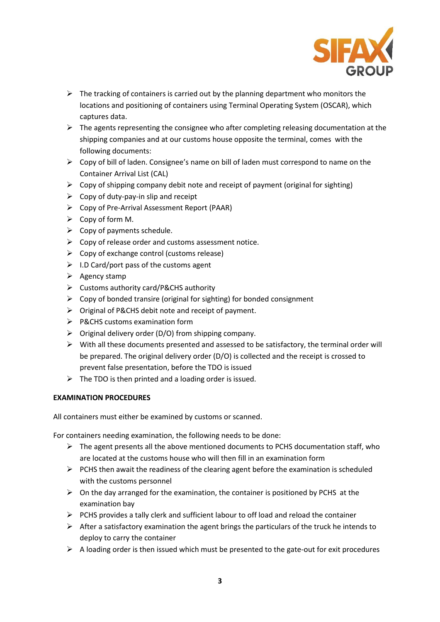

- $\triangleright$  The tracking of containers is carried out by the planning department who monitors the locations and positioning of containers using Terminal Operating System (OSCAR), which captures data.
- $\triangleright$  The agents representing the consignee who after completing releasing documentation at the shipping companies and at our customs house opposite the terminal, comes with the following documents:
- $\triangleright$  Copy of bill of laden. Consignee's name on bill of laden must correspond to name on the Container Arrival List (CAL)
- $\triangleright$  Copy of shipping company debit note and receipt of payment (original for sighting)
- $\triangleright$  Copy of duty-pay-in slip and receipt
- $\triangleright$  Copy of Pre-Arrival Assessment Report (PAAR)
- $\triangleright$  Copy of form M.
- $\triangleright$  Copy of payments schedule.
- $\triangleright$  Copy of release order and customs assessment notice.
- $\triangleright$  Copy of exchange control (customs release)
- $\triangleright$  I.D Card/port pass of the customs agent
- $\triangleright$  Agency stamp
- Customs authority card/P&CHS authority
- $\triangleright$  Copy of bonded transire (original for sighting) for bonded consignment
- $\triangleright$  Original of P&CHS debit note and receipt of payment.
- $\triangleright$  P&CHS customs examination form
- $\triangleright$  Original delivery order (D/O) from shipping company.
- $\triangleright$  With all these documents presented and assessed to be satisfactory, the terminal order will be prepared. The original delivery order (D/O) is collected and the receipt is crossed to prevent false presentation, before the TDO is issued
- $\triangleright$  The TDO is then printed and a loading order is issued.

# **EXAMINATION PROCEDURES**

All containers must either be examined by customs or scanned.

For containers needing examination, the following needs to be done:

- $\triangleright$  The agent presents all the above mentioned documents to PCHS documentation staff, who are located at the customs house who will then fill in an examination form
- $\triangleright$  PCHS then await the readiness of the clearing agent before the examination is scheduled with the customs personnel
- $\triangleright$  On the day arranged for the examination, the container is positioned by PCHS at the examination bay
- $\triangleright$  PCHS provides a tally clerk and sufficient labour to off load and reload the container
- $\triangleright$  After a satisfactory examination the agent brings the particulars of the truck he intends to deploy to carry the container
- $\triangleright$  A loading order is then issued which must be presented to the gate-out for exit procedures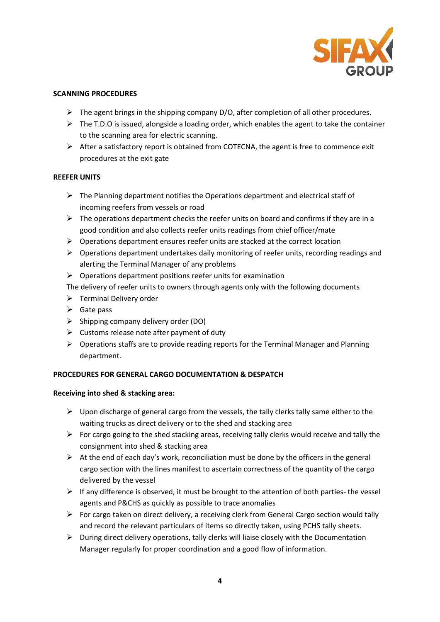

### **SCANNING PROCEDURES**

- $\triangleright$  The agent brings in the shipping company D/O, after completion of all other procedures.
- $\triangleright$  The T.D.O is issued, alongside a loading order, which enables the agent to take the container to the scanning area for electric scanning.
- $\triangleright$  After a satisfactory report is obtained from COTECNA, the agent is free to commence exit procedures at the exit gate

## **REEFER UNITS**

- $\triangleright$  The Planning department notifies the Operations department and electrical staff of incoming reefers from vessels or road
- $\triangleright$  The operations department checks the reefer units on board and confirms if they are in a good condition and also collects reefer units readings from chief officer/mate
- $\triangleright$  Operations department ensures reefer units are stacked at the correct location
- $\triangleright$  Operations department undertakes daily monitoring of reefer units, recording readings and alerting the Terminal Manager of any problems
- $\triangleright$  Operations department positions reefer units for examination

The delivery of reefer units to owners through agents only with the following documents

- $\triangleright$  Terminal Delivery order
- $\triangleright$  Gate pass
- $\triangleright$  Shipping company delivery order (DO)
- $\triangleright$  Customs release note after payment of duty
- $\triangleright$  Operations staffs are to provide reading reports for the Terminal Manager and Planning department.

# **PROCEDURES FOR GENERAL CARGO DOCUMENTATION & DESPATCH**

# **Receiving into shed & stacking area:**

- $\triangleright$  Upon discharge of general cargo from the vessels, the tally clerks tally same either to the waiting trucks as direct delivery or to the shed and stacking area
- $\triangleright$  For cargo going to the shed stacking areas, receiving tally clerks would receive and tally the consignment into shed & stacking area
- $\triangleright$  At the end of each day's work, reconciliation must be done by the officers in the general cargo section with the lines manifest to ascertain correctness of the quantity of the cargo delivered by the vessel
- $\triangleright$  If any difference is observed, it must be brought to the attention of both parties- the vessel agents and P&CHS as quickly as possible to trace anomalies
- For cargo taken on direct delivery, a receiving clerk from General Cargo section would tally and record the relevant particulars of items so directly taken, using PCHS tally sheets.
- $\triangleright$  During direct delivery operations, tally clerks will liaise closely with the Documentation Manager regularly for proper coordination and a good flow of information.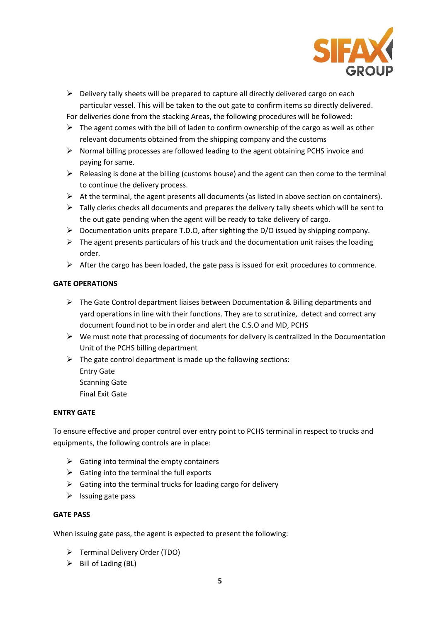

- $\triangleright$  Delivery tally sheets will be prepared to capture all directly delivered cargo on each particular vessel. This will be taken to the out gate to confirm items so directly delivered. For deliveries done from the stacking Areas, the following procedures will be followed:
- $\triangleright$  The agent comes with the bill of laden to confirm ownership of the cargo as well as other relevant documents obtained from the shipping company and the customs
- $\triangleright$  Normal billing processes are followed leading to the agent obtaining PCHS invoice and paying for same.
- $\triangleright$  Releasing is done at the billing (customs house) and the agent can then come to the terminal to continue the delivery process.
- $\triangleright$  At the terminal, the agent presents all documents (as listed in above section on containers).
- $\triangleright$  Tally clerks checks all documents and prepares the delivery tally sheets which will be sent to the out gate pending when the agent will be ready to take delivery of cargo.
- $\triangleright$  Documentation units prepare T.D.O, after sighting the D/O issued by shipping company.
- $\triangleright$  The agent presents particulars of his truck and the documentation unit raises the loading order.
- $\triangleright$  After the cargo has been loaded, the gate pass is issued for exit procedures to commence.

# **GATE OPERATIONS**

- The Gate Control department liaises between Documentation & Billing departments and yard operations in line with their functions. They are to scrutinize, detect and correct any document found not to be in order and alert the C.S.O and MD, PCHS
- $\triangleright$  We must note that processing of documents for delivery is centralized in the Documentation Unit of the PCHS billing department
- $\triangleright$  The gate control department is made up the following sections: Entry Gate
	- Scanning Gate
	- Final Exit Gate

# **ENTRY GATE**

To ensure effective and proper control over entry point to PCHS terminal in respect to trucks and equipments, the following controls are in place:

- $\triangleright$  Gating into terminal the empty containers
- $\triangleright$  Gating into the terminal the full exports
- $\triangleright$  Gating into the terminal trucks for loading cargo for delivery
- $\triangleright$  Issuing gate pass

## **GATE PASS**

When issuing gate pass, the agent is expected to present the following:

- Terminal Delivery Order (TDO)
- $\triangleright$  Bill of Lading (BL)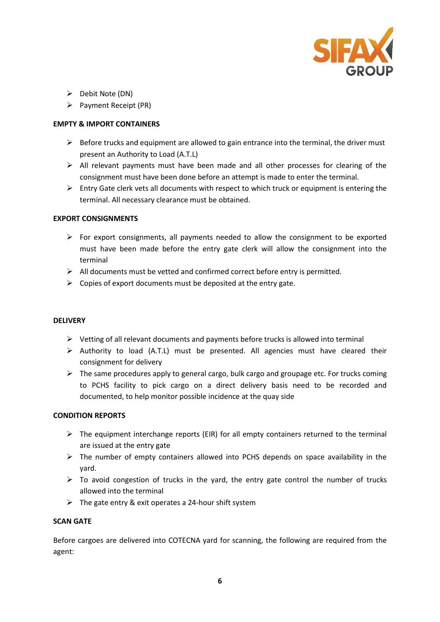

- $\triangleright$  Debit Note (DN)
- $\triangleright$  Payment Receipt (PR)

## **EMPTY & IMPORT CONTAINERS**

- $\triangleright$  Before trucks and equipment are allowed to gain entrance into the terminal, the driver must present an Authority to Load (A.T.L)
- $\triangleright$  All relevant payments must have been made and all other processes for clearing of the consignment must have been done before an attempt is made to enter the terminal.
- $\triangleright$  Entry Gate clerk vets all documents with respect to which truck or equipment is entering the terminal. All necessary clearance must be obtained.

### **EXPORT CONSIGNMENTS**

- $\triangleright$  For export consignments, all payments needed to allow the consignment to be exported must have been made before the entry gate clerk will allow the consignment into the terminal
- $\triangleright$  All documents must be vetted and confirmed correct before entry is permitted.
- $\triangleright$  Copies of export documents must be deposited at the entry gate.

#### **DELIVERY**

- $\triangleright$  Vetting of all relevant documents and payments before trucks is allowed into terminal
- $\triangleright$  Authority to load (A.T.L) must be presented. All agencies must have cleared their consignment for delivery
- $\triangleright$  The same procedures apply to general cargo, bulk cargo and groupage etc. For trucks coming to PCHS facility to pick cargo on a direct delivery basis need to be recorded and documented, to help monitor possible incidence at the quay side

### **CONDITION REPORTS**

- $\triangleright$  The equipment interchange reports (EIR) for all empty containers returned to the terminal are issued at the entry gate
- $\triangleright$  The number of empty containers allowed into PCHS depends on space availability in the yard.
- $\triangleright$  To avoid congestion of trucks in the yard, the entry gate control the number of trucks allowed into the terminal
- $\triangleright$  The gate entry & exit operates a 24-hour shift system

### **SCAN GATE**

Before cargoes are delivered into COTECNA yard for scanning, the following are required from the agent: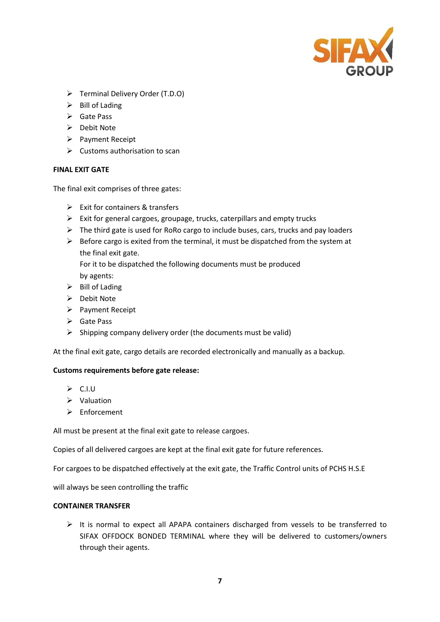

- Terminal Delivery Order (T.D.O)
- $\triangleright$  Bill of Lading
- $\triangleright$  Gate Pass
- $\triangleright$  Debit Note
- $\triangleright$  Payment Receipt
- $\triangleright$  Customs authorisation to scan

### **FINAL EXIT GATE**

The final exit comprises of three gates:

- $\triangleright$  Exit for containers & transfers
- $\triangleright$  Exit for general cargoes, groupage, trucks, caterpillars and empty trucks
- $\triangleright$  The third gate is used for RoRo cargo to include buses, cars, trucks and pay loaders
- $\triangleright$  Before cargo is exited from the terminal, it must be dispatched from the system at the final exit gate.

For it to be dispatched the following documents must be produced by agents:

- $\triangleright$  Bill of Lading
- $\triangleright$  Debit Note
- $\triangleright$  Payment Receipt
- **►** Gate Pass
- $\triangleright$  Shipping company delivery order (the documents must be valid)

At the final exit gate, cargo details are recorded electronically and manually as a backup.

### **Customs requirements before gate release:**

- $\triangleright$  C.I.U
- $\triangleright$  Valuation
- $\triangleright$  Enforcement

All must be present at the final exit gate to release cargoes.

Copies of all delivered cargoes are kept at the final exit gate for future references.

For cargoes to be dispatched effectively at the exit gate, the Traffic Control units of PCHS H.S.E

will always be seen controlling the traffic

### **CONTAINER TRANSFER**

 $\triangleright$  It is normal to expect all APAPA containers discharged from vessels to be transferred to SIFAX OFFDOCK BONDED TERMINAL where they will be delivered to customers/owners through their agents.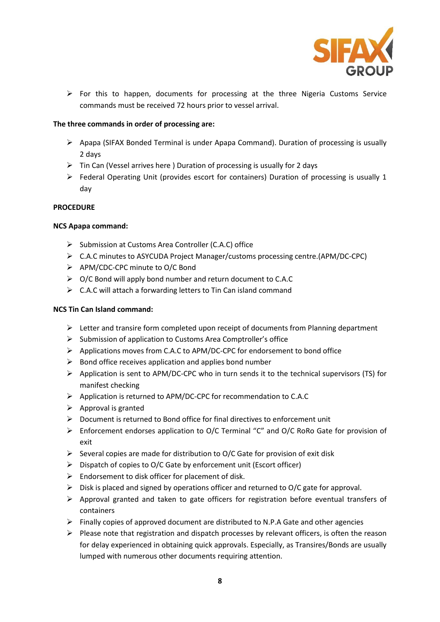

 $\triangleright$  For this to happen, documents for processing at the three Nigeria Customs Service commands must be received 72 hours prior to vessel arrival.

## **The three commands in order of processing are:**

- $\triangleright$  Apapa (SIFAX Bonded Terminal is under Apapa Command). Duration of processing is usually 2 days
- $\triangleright$  Tin Can (Vessel arrives here ) Duration of processing is usually for 2 days
- $\triangleright$  Federal Operating Unit (provides escort for containers) Duration of processing is usually 1 day

### **PROCEDURE**

## **NCS Apapa command:**

- Submission at Customs Area Controller (C.A.C) office
- C.A.C minutes to ASYCUDA Project Manager/customs processing centre.(APM/DC-CPC)
- APM/CDC-CPC minute to O/C Bond
- $\triangleright$  O/C Bond will apply bond number and return document to C.A.C
- $\triangleright$  C.A.C will attach a forwarding letters to Tin Can island command

## **NCS Tin Can Island command:**

- $\triangleright$  Letter and transire form completed upon receipt of documents from Planning department
- $\triangleright$  Submission of application to Customs Area Comptroller's office
- $\triangleright$  Applications moves from C.A.C to APM/DC-CPC for endorsement to bond office
- $\triangleright$  Bond office receives application and applies bond number
- $\triangleright$  Application is sent to APM/DC-CPC who in turn sends it to the technical supervisors (TS) for manifest checking
- $\triangleright$  Application is returned to APM/DC-CPC for recommendation to C.A.C
- $\triangleright$  Approval is granted
- $\triangleright$  Document is returned to Bond office for final directives to enforcement unit
- Enforcement endorses application to O/C Terminal "C" and O/C RoRo Gate for provision of exit
- $\triangleright$  Several copies are made for distribution to O/C Gate for provision of exit disk
- $\triangleright$  Dispatch of copies to O/C Gate by enforcement unit (Escort officer)
- $\triangleright$  Endorsement to disk officer for placement of disk.
- $\triangleright$  Disk is placed and signed by operations officer and returned to O/C gate for approval.
- $\triangleright$  Approval granted and taken to gate officers for registration before eventual transfers of containers
- $\triangleright$  Finally copies of approved document are distributed to N.P.A Gate and other agencies
- $\triangleright$  Please note that registration and dispatch processes by relevant officers, is often the reason for delay experienced in obtaining quick approvals. Especially, as Transires/Bonds are usually lumped with numerous other documents requiring attention.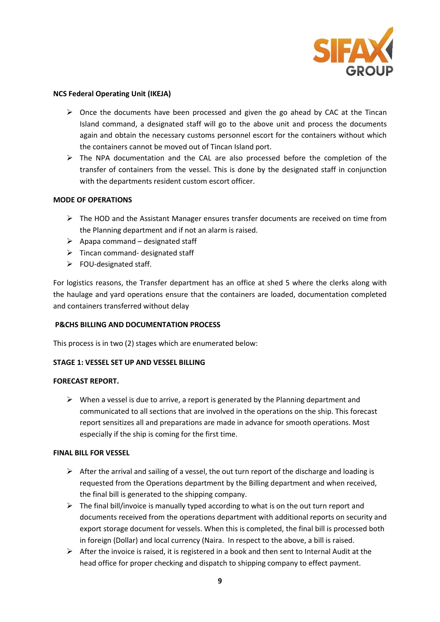

### **NCS Federal Operating Unit (IKEJA)**

- $\triangleright$  Once the documents have been processed and given the go ahead by CAC at the Tincan Island command, a designated staff will go to the above unit and process the documents again and obtain the necessary customs personnel escort for the containers without which the containers cannot be moved out of Tincan Island port.
- $\triangleright$  The NPA documentation and the CAL are also processed before the completion of the transfer of containers from the vessel. This is done by the designated staff in conjunction with the departments resident custom escort officer.

## **MODE OF OPERATIONS**

- $\triangleright$  The HOD and the Assistant Manager ensures transfer documents are received on time from the Planning department and if not an alarm is raised.
- $\triangleright$  Apapa command designated staff
- $\triangleright$  Tincan command- designated staff
- $\triangleright$  FOU-designated staff.

For logistics reasons, the Transfer department has an office at shed 5 where the clerks along with the haulage and yard operations ensure that the containers are loaded, documentation completed and containers transferred without delay

### **P&CHS BILLING AND DOCUMENTATION PROCESS**

This process is in two (2) stages which are enumerated below:

### **STAGE 1: VESSEL SET UP AND VESSEL BILLING**

### **FORECAST REPORT.**

 $\triangleright$  When a vessel is due to arrive, a report is generated by the Planning department and communicated to all sections that are involved in the operations on the ship. This forecast report sensitizes all and preparations are made in advance for smooth operations. Most especially if the ship is coming for the first time.

### **FINAL BILL FOR VESSEL**

- $\triangleright$  After the arrival and sailing of a vessel, the out turn report of the discharge and loading is requested from the Operations department by the Billing department and when received, the final bill is generated to the shipping company.
- $\triangleright$  The final bill/invoice is manually typed according to what is on the out turn report and documents received from the operations department with additional reports on security and export storage document for vessels. When this is completed, the final bill is processed both in foreign (Dollar) and local currency (Naira. In respect to the above, a bill is raised.
- $\triangleright$  After the invoice is raised, it is registered in a book and then sent to Internal Audit at the head office for proper checking and dispatch to shipping company to effect payment.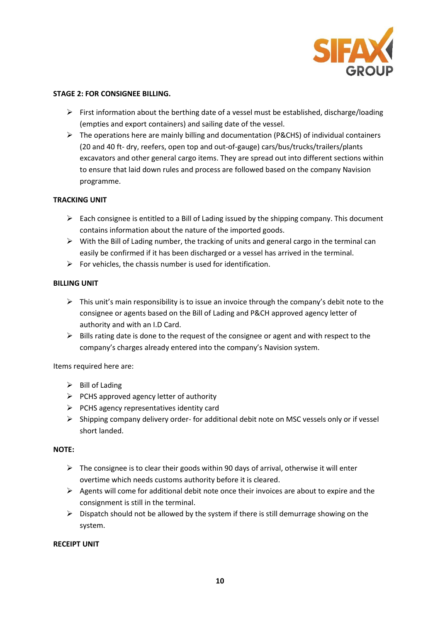

### **STAGE 2: FOR CONSIGNEE BILLING.**

- $\triangleright$  First information about the berthing date of a vessel must be established, discharge/loading (empties and export containers) and sailing date of the vessel.
- $\triangleright$  The operations here are mainly billing and documentation (P&CHS) of individual containers (20 and 40 ft- dry, reefers, open top and out-of-gauge) cars/bus/trucks/trailers/plants excavators and other general cargo items. They are spread out into different sections within to ensure that laid down rules and process are followed based on the company Navision programme.

# **TRACKING UNIT**

- $\triangleright$  Each consignee is entitled to a Bill of Lading issued by the shipping company. This document contains information about the nature of the imported goods.
- $\triangleright$  With the Bill of Lading number, the tracking of units and general cargo in the terminal can easily be confirmed if it has been discharged or a vessel has arrived in the terminal.
- $\triangleright$  For vehicles, the chassis number is used for identification.

## **BILLING UNIT**

- $\triangleright$  This unit's main responsibility is to issue an invoice through the company's debit note to the consignee or agents based on the Bill of Lading and P&CH approved agency letter of authority and with an I.D Card.
- $\triangleright$  Bills rating date is done to the request of the consignee or agent and with respect to the company's charges already entered into the company's Navision system.

Items required here are:

- $\triangleright$  Bill of Lading
- $\triangleright$  PCHS approved agency letter of authority
- $\triangleright$  PCHS agency representatives identity card
- $\triangleright$  Shipping company delivery order- for additional debit note on MSC vessels only or if vessel short landed.

### **NOTE:**

- $\triangleright$  The consignee is to clear their goods within 90 days of arrival, otherwise it will enter overtime which needs customs authority before it is cleared.
- $\triangleright$  Agents will come for additional debit note once their invoices are about to expire and the consignment is still in the terminal.
- $\triangleright$  Dispatch should not be allowed by the system if there is still demurrage showing on the system.

### **RECEIPT UNIT**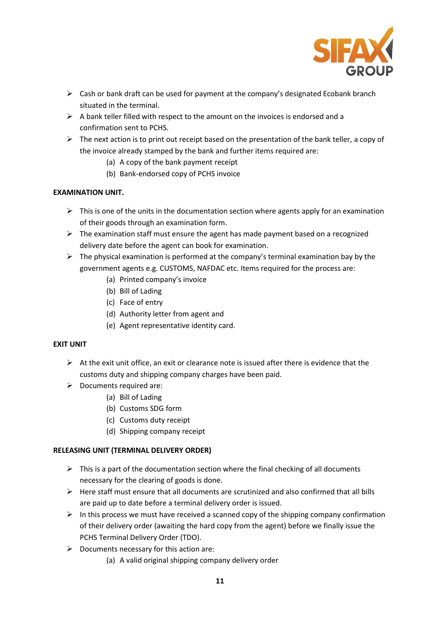

- $\triangleright$  Cash or bank draft can be used for payment at the company's designated Ecobank branch situated in the terminal.
- $\triangleright$  A bank teller filled with respect to the amount on the invoices is endorsed and a confirmation sent to PCHS.
- $\triangleright$  The next action is to print out receipt based on the presentation of the bank teller, a copy of the invoice already stamped by the bank and further items required are:
	- (a) A copy of the bank payment receipt
	- (b) Bank-endorsed copy of PCHS invoice

# **EXAMINATION UNIT.**

- $\triangleright$  This is one of the units in the documentation section where agents apply for an examination of their goods through an examination form.
- $\triangleright$  The examination staff must ensure the agent has made payment based on a recognized delivery date before the agent can book for examination.
- $\triangleright$  The physical examination is performed at the company's terminal examination bay by the government agents e.g. CUSTOMS, NAFDAC etc. Items required for the process are:
	- (a) Printed company's invoice
	- (b) Bill of Lading
	- (c) Face of entry
	- (d) Authority letter from agent and
	- (e) Agent representative identity card.

# **EXIT UNIT**

- $\triangleright$  At the exit unit office, an exit or clearance note is issued after there is evidence that the customs duty and shipping company charges have been paid.
- $\triangleright$  Documents required are:
	- (a) Bill of Lading
	- (b) Customs SDG form
	- (c) Customs duty receipt
	- (d) Shipping company receipt

# **RELEASING UNIT (TERMINAL DELIVERY ORDER)**

- $\triangleright$  This is a part of the documentation section where the final checking of all documents necessary for the clearing of goods is done.
- $\triangleright$  Here staff must ensure that all documents are scrutinized and also confirmed that all bills are paid up to date before a terminal delivery order is issued.
- $\triangleright$  In this process we must have received a scanned copy of the shipping company confirmation of their delivery order (awaiting the hard copy from the agent) before we finally issue the PCHS Terminal Delivery Order (TDO).
- $\triangleright$  Documents necessary for this action are:
	- (a) A valid original shipping company delivery order